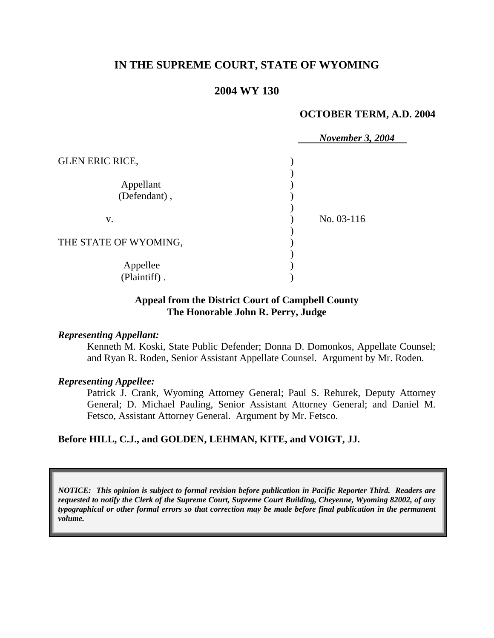# **IN THE SUPREME COURT, STATE OF WYOMING**

## **2004 WY 130**

#### **OCTOBER TERM, A.D. 2004**

|                           |  | <b>November 3, 2004</b> |
|---------------------------|--|-------------------------|
| <b>GLEN ERIC RICE,</b>    |  |                         |
| Appellant<br>(Defendant), |  | No. 03-116              |
| V.                        |  |                         |
| THE STATE OF WYOMING,     |  |                         |
| Appellee<br>(Plaintiff).  |  |                         |

### **Appeal from the District Court of Campbell County The Honorable John R. Perry, Judge**

#### *Representing Appellant:*

Kenneth M. Koski, State Public Defender; Donna D. Domonkos, Appellate Counsel; and Ryan R. Roden, Senior Assistant Appellate Counsel. Argument by Mr. Roden.

## *Representing Appellee:*

Patrick J. Crank, Wyoming Attorney General; Paul S. Rehurek, Deputy Attorney General; D. Michael Pauling, Senior Assistant Attorney General; and Daniel M. Fetsco, Assistant Attorney General. Argument by Mr. Fetsco.

### **Before HILL, C.J., and GOLDEN, LEHMAN, KITE, and VOIGT, JJ.**

*NOTICE: This opinion is subject to formal revision before publication in Pacific Reporter Third. Readers are requested to notify the Clerk of the Supreme Court, Supreme Court Building, Cheyenne, Wyoming 82002, of any typographical or other formal errors so that correction may be made before final publication in the permanent volume.*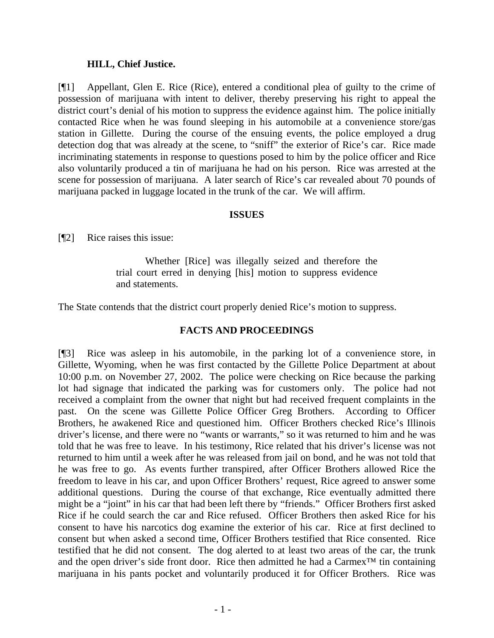## **HILL, Chief Justice.**

[¶1] Appellant, Glen E. Rice (Rice), entered a conditional plea of guilty to the crime of possession of marijuana with intent to deliver, thereby preserving his right to appeal the district court's denial of his motion to suppress the evidence against him. The police initially contacted Rice when he was found sleeping in his automobile at a convenience store/gas station in Gillette. During the course of the ensuing events, the police employed a drug detection dog that was already at the scene, to "sniff" the exterior of Rice's car. Rice made incriminating statements in response to questions posed to him by the police officer and Rice also voluntarily produced a tin of marijuana he had on his person. Rice was arrested at the scene for possession of marijuana. A later search of Rice's car revealed about 70 pounds of marijuana packed in luggage located in the trunk of the car. We will affirm.

## **ISSUES**

[¶2] Rice raises this issue:

Whether [Rice] was illegally seized and therefore the trial court erred in denying [his] motion to suppress evidence and statements.

The State contends that the district court properly denied Rice's motion to suppress.

## **FACTS AND PROCEEDINGS**

[¶3] Rice was asleep in his automobile, in the parking lot of a convenience store, in Gillette, Wyoming, when he was first contacted by the Gillette Police Department at about 10:00 p.m. on November 27, 2002. The police were checking on Rice because the parking lot had signage that indicated the parking was for customers only. The police had not received a complaint from the owner that night but had received frequent complaints in the past. On the scene was Gillette Police Officer Greg Brothers. According to Officer Brothers, he awakened Rice and questioned him. Officer Brothers checked Rice's Illinois driver's license, and there were no "wants or warrants," so it was returned to him and he was told that he was free to leave. In his testimony, Rice related that his driver's license was not returned to him until a week after he was released from jail on bond, and he was not told that he was free to go. As events further transpired, after Officer Brothers allowed Rice the freedom to leave in his car, and upon Officer Brothers' request, Rice agreed to answer some additional questions. During the course of that exchange, Rice eventually admitted there might be a "joint" in his car that had been left there by "friends." Officer Brothers first asked Rice if he could search the car and Rice refused. Officer Brothers then asked Rice for his consent to have his narcotics dog examine the exterior of his car. Rice at first declined to consent but when asked a second time, Officer Brothers testified that Rice consented. Rice testified that he did not consent. The dog alerted to at least two areas of the car, the trunk and the open driver's side front door. Rice then admitted he had a Carmex™ tin containing marijuana in his pants pocket and voluntarily produced it for Officer Brothers. Rice was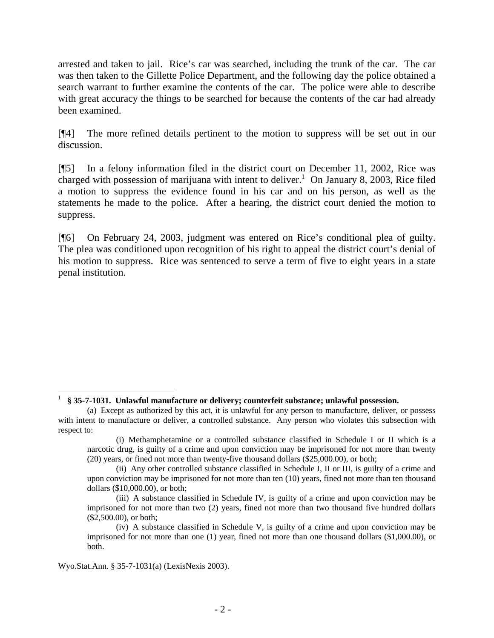arrested and taken to jail. Rice's car was searched, including the trunk of the car. The car was then taken to the Gillette Police Department, and the following day the police obtained a search warrant to further examine the contents of the car. The police were able to describe with great accuracy the things to be searched for because the contents of the car had already been examined.

[¶4] The more refined details pertinent to the motion to suppress will be set out in our discussion.

[¶5] In a felony information filed in the district court on December 11, 2002, Rice was charged with possession of marijuana with intent to deliver.<sup>1</sup> On January 8, 2003, Rice filed a motion to suppress the evidence found in his car and on his person, as well as the statements he made to the police. After a hearing, the district court denied the motion to suppress.

[¶6] On February 24, 2003, judgment was entered on Rice's conditional plea of guilty. The plea was conditioned upon recognition of his right to appeal the district court's denial of his motion to suppress. Rice was sentenced to serve a term of five to eight years in a state penal institution.

<sup>1</sup> **§ 35-7-1031. Unlawful manufacture or delivery; counterfeit substance; unlawful possession.**

<sup>(</sup>a) Except as authorized by this act, it is unlawful for any person to manufacture, deliver, or possess with intent to manufacture or deliver, a controlled substance. Any person who violates this subsection with respect to:

<sup>(</sup>i) Methamphetamine or a controlled substance classified in Schedule I or II which is a narcotic drug, is guilty of a crime and upon conviction may be imprisoned for not more than twenty (20) years, or fined not more than twenty-five thousand dollars (\$25,000.00), or both;

<sup>(</sup>ii) Any other controlled substance classified in Schedule I, II or III, is guilty of a crime and upon conviction may be imprisoned for not more than ten (10) years, fined not more than ten thousand dollars (\$10,000.00), or both;

<sup>(</sup>iii) A substance classified in Schedule IV, is guilty of a crime and upon conviction may be imprisoned for not more than two (2) years, fined not more than two thousand five hundred dollars (\$2,500.00), or both;

<sup>(</sup>iv) A substance classified in Schedule V, is guilty of a crime and upon conviction may be imprisoned for not more than one (1) year, fined not more than one thousand dollars (\$1,000.00), or both.

Wyo.Stat.Ann. § 35-7-1031(a) (LexisNexis 2003).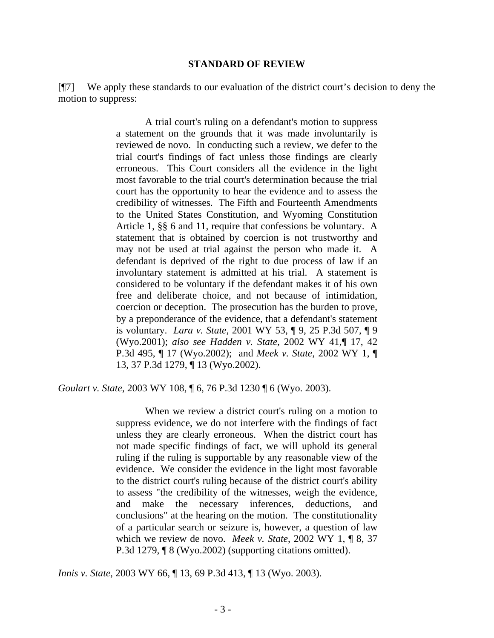#### **STANDARD OF REVIEW**

[¶7] We apply these standards to our evaluation of the district court's decision to deny the motion to suppress:

> A trial court's ruling on a defendant's motion to suppress a statement on the grounds that it was made involuntarily is reviewed de novo. In conducting such a review, we defer to the trial court's findings of fact unless those findings are clearly erroneous. This Court considers all the evidence in the light most favorable to the trial court's determination because the trial court has the opportunity to hear the evidence and to assess the credibility of witnesses. The Fifth and Fourteenth Amendments to the United States Constitution, and Wyoming Constitution Article 1, §§ 6 and 11, require that confessions be voluntary. A statement that is obtained by coercion is not trustworthy and may not be used at trial against the person who made it. A defendant is deprived of the right to due process of law if an involuntary statement is admitted at his trial. A statement is considered to be voluntary if the defendant makes it of his own free and deliberate choice, and not because of intimidation, coercion or deception. The prosecution has the burden to prove, by a preponderance of the evidence, that a defendant's statement is voluntary. *Lara v. State*, 2001 WY 53, ¶ 9, 25 P.3d 507, ¶ 9 (Wyo.2001); *also see Hadden v. State*, 2002 WY 41,¶ 17, 42 P.3d 495, ¶ 17 (Wyo.2002); and *Meek v. State*, 2002 WY 1, ¶ 13, 37 P.3d 1279, ¶ 13 (Wyo.2002).

*Goulart v. State*, 2003 WY 108, ¶ 6, 76 P.3d 1230 ¶ 6 (Wyo. 2003).

When we review a district court's ruling on a motion to suppress evidence, we do not interfere with the findings of fact unless they are clearly erroneous. When the district court has not made specific findings of fact, we will uphold its general ruling if the ruling is supportable by any reasonable view of the evidence. We consider the evidence in the light most favorable to the district court's ruling because of the district court's ability to assess "the credibility of the witnesses, weigh the evidence, and make the necessary inferences, deductions, and conclusions" at the hearing on the motion. The constitutionality of a particular search or seizure is, however, a question of law which we review de novo. *Meek v. State*, 2002 WY 1, ¶ 8, 37 P.3d 1279, ¶ 8 (Wyo.2002) (supporting citations omitted).

*Innis v. State*, 2003 WY 66, ¶ 13, 69 P.3d 413, ¶ 13 (Wyo. 2003).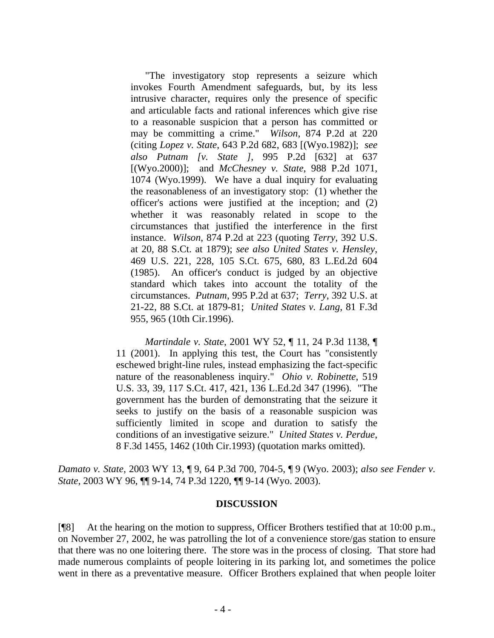"The investigatory stop represents a seizure which invokes Fourth Amendment safeguards, but, by its less intrusive character, requires only the presence of specific and articulable facts and rational inferences which give rise to a reasonable suspicion that a person has committed or may be committing a crime." *Wilson*, 874 P.2d at 220 (citing *Lopez v. State*, 643 P.2d 682, 683 [(Wyo.1982)]; *see also Putnam [v. State ]*, 995 P.2d [632] at 637 [(Wyo.2000)]; and *McChesney v. State*, 988 P.2d 1071, 1074 (Wyo.1999). We have a dual inquiry for evaluating the reasonableness of an investigatory stop: (1) whether the officer's actions were justified at the inception; and (2) whether it was reasonably related in scope to the circumstances that justified the interference in the first instance. *Wilson*, 874 P.2d at 223 (quoting *Terry*, 392 U.S. at 20, 88 S.Ct. at 1879); *see also United States v. Hensley*, 469 U.S. 221, 228, 105 S.Ct. 675, 680, 83 L.Ed.2d 604 (1985). An officer's conduct is judged by an objective standard which takes into account the totality of the circumstances. *Putnam*, 995 P.2d at 637; *Terry*, 392 U.S. at 21-22, 88 S.Ct. at 1879-81; *United States v. Lang*, 81 F.3d 955, 965 (10th Cir.1996).

*Martindale v. State*, 2001 WY 52, ¶ 11, 24 P.3d 1138, ¶ 11 (2001). In applying this test, the Court has "consistently eschewed bright-line rules, instead emphasizing the fact-specific nature of the reasonableness inquiry." *Ohio v. Robinette*, 519 U.S. 33, 39, 117 S.Ct. 417, 421, 136 L.Ed.2d 347 (1996). "The government has the burden of demonstrating that the seizure it seeks to justify on the basis of a reasonable suspicion was sufficiently limited in scope and duration to satisfy the conditions of an investigative seizure." *United States v. Perdue*, 8 F.3d 1455, 1462 (10th Cir.1993) (quotation marks omitted).

*Damato v. State*, 2003 WY 13, ¶ 9, 64 P.3d 700, 704-5, ¶ 9 (Wyo. 2003); *also see Fender v. State*, 2003 WY 96, ¶¶ 9-14, 74 P.3d 1220, ¶¶ 9-14 (Wyo. 2003).

#### **DISCUSSION**

[¶8] At the hearing on the motion to suppress, Officer Brothers testified that at 10:00 p.m., on November 27, 2002, he was patrolling the lot of a convenience store/gas station to ensure that there was no one loitering there. The store was in the process of closing. That store had made numerous complaints of people loitering in its parking lot, and sometimes the police went in there as a preventative measure. Officer Brothers explained that when people loiter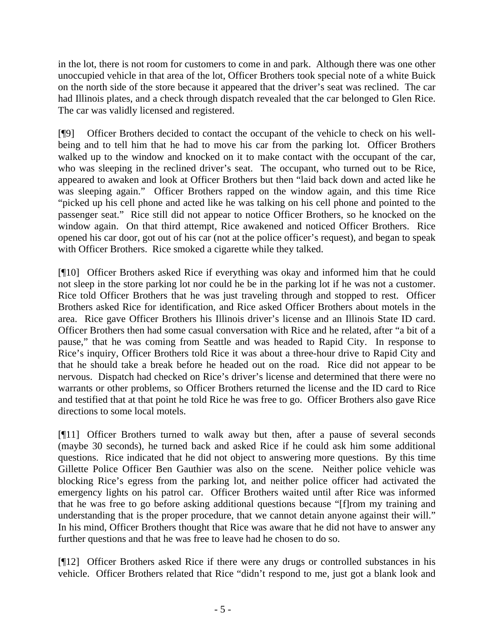in the lot, there is not room for customers to come in and park. Although there was one other unoccupied vehicle in that area of the lot, Officer Brothers took special note of a white Buick on the north side of the store because it appeared that the driver's seat was reclined. The car had Illinois plates, and a check through dispatch revealed that the car belonged to Glen Rice. The car was validly licensed and registered.

[¶9] Officer Brothers decided to contact the occupant of the vehicle to check on his wellbeing and to tell him that he had to move his car from the parking lot. Officer Brothers walked up to the window and knocked on it to make contact with the occupant of the car, who was sleeping in the reclined driver's seat. The occupant, who turned out to be Rice, appeared to awaken and look at Officer Brothers but then "laid back down and acted like he was sleeping again." Officer Brothers rapped on the window again, and this time Rice "picked up his cell phone and acted like he was talking on his cell phone and pointed to the passenger seat." Rice still did not appear to notice Officer Brothers, so he knocked on the window again. On that third attempt, Rice awakened and noticed Officer Brothers. Rice opened his car door, got out of his car (not at the police officer's request), and began to speak with Officer Brothers. Rice smoked a cigarette while they talked.

[¶10] Officer Brothers asked Rice if everything was okay and informed him that he could not sleep in the store parking lot nor could he be in the parking lot if he was not a customer. Rice told Officer Brothers that he was just traveling through and stopped to rest. Officer Brothers asked Rice for identification, and Rice asked Officer Brothers about motels in the area. Rice gave Officer Brothers his Illinois driver's license and an Illinois State ID card. Officer Brothers then had some casual conversation with Rice and he related, after "a bit of a pause," that he was coming from Seattle and was headed to Rapid City. In response to Rice's inquiry, Officer Brothers told Rice it was about a three-hour drive to Rapid City and that he should take a break before he headed out on the road. Rice did not appear to be nervous. Dispatch had checked on Rice's driver's license and determined that there were no warrants or other problems, so Officer Brothers returned the license and the ID card to Rice and testified that at that point he told Rice he was free to go. Officer Brothers also gave Rice directions to some local motels.

[¶11] Officer Brothers turned to walk away but then, after a pause of several seconds (maybe 30 seconds), he turned back and asked Rice if he could ask him some additional questions. Rice indicated that he did not object to answering more questions. By this time Gillette Police Officer Ben Gauthier was also on the scene. Neither police vehicle was blocking Rice's egress from the parking lot, and neither police officer had activated the emergency lights on his patrol car. Officer Brothers waited until after Rice was informed that he was free to go before asking additional questions because "[f]rom my training and understanding that is the proper procedure, that we cannot detain anyone against their will." In his mind, Officer Brothers thought that Rice was aware that he did not have to answer any further questions and that he was free to leave had he chosen to do so.

[¶12] Officer Brothers asked Rice if there were any drugs or controlled substances in his vehicle. Officer Brothers related that Rice "didn't respond to me, just got a blank look and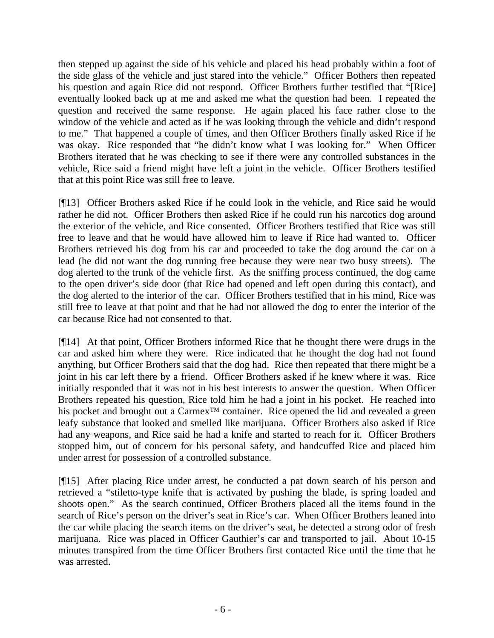then stepped up against the side of his vehicle and placed his head probably within a foot of the side glass of the vehicle and just stared into the vehicle." Officer Bothers then repeated his question and again Rice did not respond. Officer Brothers further testified that "[Rice] eventually looked back up at me and asked me what the question had been. I repeated the question and received the same response. He again placed his face rather close to the window of the vehicle and acted as if he was looking through the vehicle and didn't respond to me." That happened a couple of times, and then Officer Brothers finally asked Rice if he was okay. Rice responded that "he didn't know what I was looking for." When Officer Brothers iterated that he was checking to see if there were any controlled substances in the vehicle, Rice said a friend might have left a joint in the vehicle. Officer Brothers testified that at this point Rice was still free to leave.

[¶13] Officer Brothers asked Rice if he could look in the vehicle, and Rice said he would rather he did not. Officer Brothers then asked Rice if he could run his narcotics dog around the exterior of the vehicle, and Rice consented. Officer Brothers testified that Rice was still free to leave and that he would have allowed him to leave if Rice had wanted to. Officer Brothers retrieved his dog from his car and proceeded to take the dog around the car on a lead (he did not want the dog running free because they were near two busy streets). The dog alerted to the trunk of the vehicle first. As the sniffing process continued, the dog came to the open driver's side door (that Rice had opened and left open during this contact), and the dog alerted to the interior of the car. Officer Brothers testified that in his mind, Rice was still free to leave at that point and that he had not allowed the dog to enter the interior of the car because Rice had not consented to that.

[¶14] At that point, Officer Brothers informed Rice that he thought there were drugs in the car and asked him where they were. Rice indicated that he thought the dog had not found anything, but Officer Brothers said that the dog had. Rice then repeated that there might be a joint in his car left there by a friend. Officer Brothers asked if he knew where it was. Rice initially responded that it was not in his best interests to answer the question. When Officer Brothers repeated his question, Rice told him he had a joint in his pocket. He reached into his pocket and brought out a Carmex<sup>™</sup> container. Rice opened the lid and revealed a green leafy substance that looked and smelled like marijuana. Officer Brothers also asked if Rice had any weapons, and Rice said he had a knife and started to reach for it. Officer Brothers stopped him, out of concern for his personal safety, and handcuffed Rice and placed him under arrest for possession of a controlled substance.

[¶15] After placing Rice under arrest, he conducted a pat down search of his person and retrieved a "stiletto-type knife that is activated by pushing the blade, is spring loaded and shoots open." As the search continued, Officer Brothers placed all the items found in the search of Rice's person on the driver's seat in Rice's car. When Officer Brothers leaned into the car while placing the search items on the driver's seat, he detected a strong odor of fresh marijuana. Rice was placed in Officer Gauthier's car and transported to jail. About 10-15 minutes transpired from the time Officer Brothers first contacted Rice until the time that he was arrested.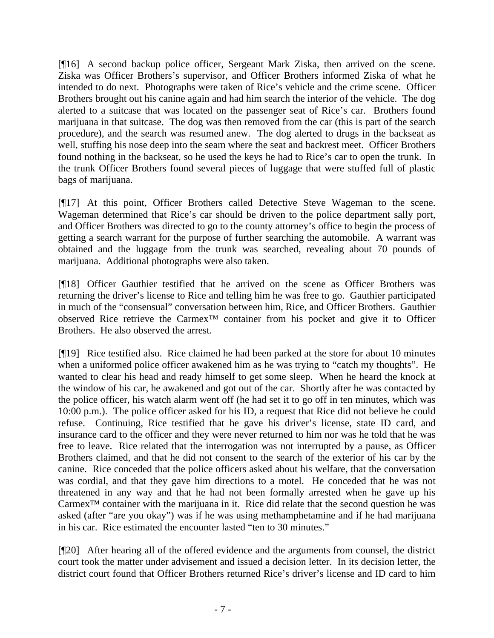[¶16] A second backup police officer, Sergeant Mark Ziska, then arrived on the scene. Ziska was Officer Brothers's supervisor, and Officer Brothers informed Ziska of what he intended to do next. Photographs were taken of Rice's vehicle and the crime scene. Officer Brothers brought out his canine again and had him search the interior of the vehicle. The dog alerted to a suitcase that was located on the passenger seat of Rice's car. Brothers found marijuana in that suitcase. The dog was then removed from the car (this is part of the search procedure), and the search was resumed anew. The dog alerted to drugs in the backseat as well, stuffing his nose deep into the seam where the seat and backrest meet. Officer Brothers found nothing in the backseat, so he used the keys he had to Rice's car to open the trunk. In the trunk Officer Brothers found several pieces of luggage that were stuffed full of plastic bags of marijuana.

[¶17] At this point, Officer Brothers called Detective Steve Wageman to the scene. Wageman determined that Rice's car should be driven to the police department sally port, and Officer Brothers was directed to go to the county attorney's office to begin the process of getting a search warrant for the purpose of further searching the automobile. A warrant was obtained and the luggage from the trunk was searched, revealing about 70 pounds of marijuana. Additional photographs were also taken.

[¶18] Officer Gauthier testified that he arrived on the scene as Officer Brothers was returning the driver's license to Rice and telling him he was free to go. Gauthier participated in much of the "consensual" conversation between him, Rice, and Officer Brothers. Gauthier observed Rice retrieve the Carmex™ container from his pocket and give it to Officer Brothers. He also observed the arrest.

[¶19] Rice testified also. Rice claimed he had been parked at the store for about 10 minutes when a uniformed police officer awakened him as he was trying to "catch my thoughts". He wanted to clear his head and ready himself to get some sleep. When he heard the knock at the window of his car, he awakened and got out of the car. Shortly after he was contacted by the police officer, his watch alarm went off (he had set it to go off in ten minutes, which was 10:00 p.m.). The police officer asked for his ID, a request that Rice did not believe he could refuse. Continuing, Rice testified that he gave his driver's license, state ID card, and insurance card to the officer and they were never returned to him nor was he told that he was free to leave. Rice related that the interrogation was not interrupted by a pause, as Officer Brothers claimed, and that he did not consent to the search of the exterior of his car by the canine. Rice conceded that the police officers asked about his welfare, that the conversation was cordial, and that they gave him directions to a motel. He conceded that he was not threatened in any way and that he had not been formally arrested when he gave up his Carmex™ container with the marijuana in it. Rice did relate that the second question he was asked (after "are you okay") was if he was using methamphetamine and if he had marijuana in his car. Rice estimated the encounter lasted "ten to 30 minutes."

[¶20] After hearing all of the offered evidence and the arguments from counsel, the district court took the matter under advisement and issued a decision letter. In its decision letter, the district court found that Officer Brothers returned Rice's driver's license and ID card to him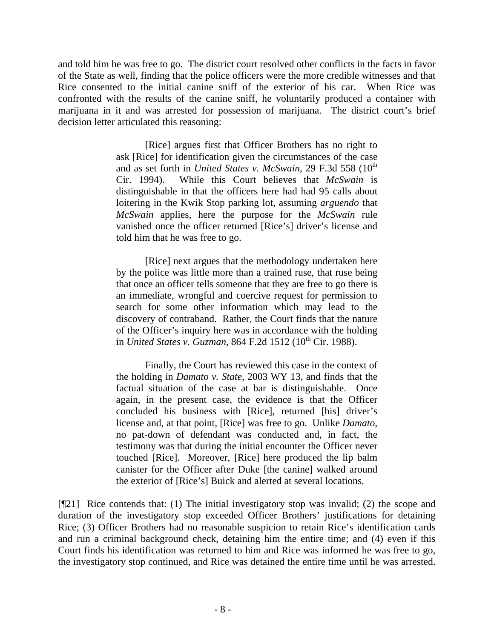and told him he was free to go. The district court resolved other conflicts in the facts in favor of the State as well, finding that the police officers were the more credible witnesses and that Rice consented to the initial canine sniff of the exterior of his car. When Rice was confronted with the results of the canine sniff, he voluntarily produced a container with marijuana in it and was arrested for possession of marijuana. The district court's brief decision letter articulated this reasoning:

> [Rice] argues first that Officer Brothers has no right to ask [Rice] for identification given the circumstances of the case and as set forth in *United States v. McSwain*, 29 F.3d 558 (10<sup>th</sup>) Cir. 1994). While this Court believes that *McSwain* is distinguishable in that the officers here had had 95 calls about loitering in the Kwik Stop parking lot, assuming *arguendo* that *McSwain* applies, here the purpose for the *McSwain* rule vanished once the officer returned [Rice's] driver's license and told him that he was free to go.

> [Rice] next argues that the methodology undertaken here by the police was little more than a trained ruse, that ruse being that once an officer tells someone that they are free to go there is an immediate, wrongful and coercive request for permission to search for some other information which may lead to the discovery of contraband. Rather, the Court finds that the nature of the Officer's inquiry here was in accordance with the holding in *United States v. Guzman*, 864 F.2d 1512 (10<sup>th</sup> Cir. 1988).

> Finally, the Court has reviewed this case in the context of the holding in *Damato v. State*, 2003 WY 13, and finds that the factual situation of the case at bar is distinguishable. Once again, in the present case, the evidence is that the Officer concluded his business with [Rice], returned [his] driver's license and, at that point, [Rice] was free to go. Unlike *Damato*, no pat-down of defendant was conducted and, in fact, the testimony was that during the initial encounter the Officer never touched [Rice]. Moreover, [Rice] here produced the lip balm canister for the Officer after Duke [the canine] walked around the exterior of [Rice's] Buick and alerted at several locations.

[¶21] Rice contends that: (1) The initial investigatory stop was invalid; (2) the scope and duration of the investigatory stop exceeded Officer Brothers' justifications for detaining Rice; (3) Officer Brothers had no reasonable suspicion to retain Rice's identification cards and run a criminal background check, detaining him the entire time; and (4) even if this Court finds his identification was returned to him and Rice was informed he was free to go, the investigatory stop continued, and Rice was detained the entire time until he was arrested.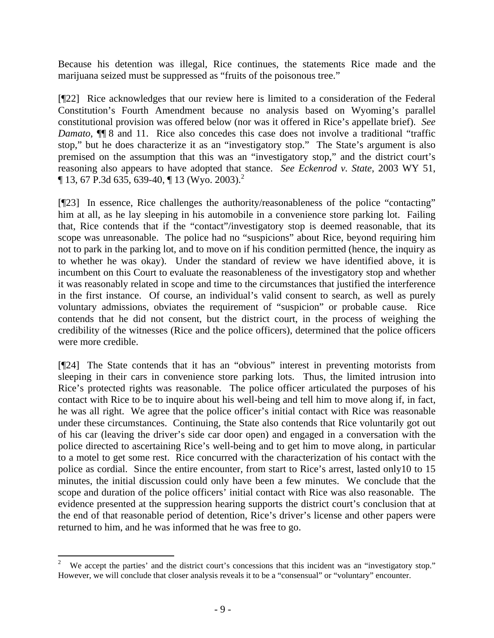Because his detention was illegal, Rice continues, the statements Rice made and the marijuana seized must be suppressed as "fruits of the poisonous tree."

[¶22] Rice acknowledges that our review here is limited to a consideration of the Federal Constitution's Fourth Amendment because no analysis based on Wyoming's parallel constitutional provision was offered below (nor was it offered in Rice's appellate brief). *See Damato*, ¶¶ 8 and 11. Rice also concedes this case does not involve a traditional "traffic stop," but he does characterize it as an "investigatory stop." The State's argument is also premised on the assumption that this was an "investigatory stop," and the district court's reasoning also appears to have adopted that stance. *See Eckenrod v. State*, 2003 WY 51,  $\P$  13, 67 P.3d 635, 639-40,  $\P$  13 (Wyo. 2003).<sup>2</sup>

[¶23] In essence, Rice challenges the authority/reasonableness of the police "contacting" him at all, as he lay sleeping in his automobile in a convenience store parking lot. Failing that, Rice contends that if the "contact"/investigatory stop is deemed reasonable, that its scope was unreasonable. The police had no "suspicions" about Rice, beyond requiring him not to park in the parking lot, and to move on if his condition permitted (hence, the inquiry as to whether he was okay). Under the standard of review we have identified above, it is incumbent on this Court to evaluate the reasonableness of the investigatory stop and whether it was reasonably related in scope and time to the circumstances that justified the interference in the first instance. Of course, an individual's valid consent to search, as well as purely voluntary admissions, obviates the requirement of "suspicion" or probable cause. Rice contends that he did not consent, but the district court, in the process of weighing the credibility of the witnesses (Rice and the police officers), determined that the police officers were more credible.

[¶24] The State contends that it has an "obvious" interest in preventing motorists from sleeping in their cars in convenience store parking lots. Thus, the limited intrusion into Rice's protected rights was reasonable. The police officer articulated the purposes of his contact with Rice to be to inquire about his well-being and tell him to move along if, in fact, he was all right. We agree that the police officer's initial contact with Rice was reasonable under these circumstances. Continuing, the State also contends that Rice voluntarily got out of his car (leaving the driver's side car door open) and engaged in a conversation with the police directed to ascertaining Rice's well-being and to get him to move along, in particular to a motel to get some rest. Rice concurred with the characterization of his contact with the police as cordial. Since the entire encounter, from start to Rice's arrest, lasted only10 to 15 minutes, the initial discussion could only have been a few minutes. We conclude that the scope and duration of the police officers' initial contact with Rice was also reasonable. The evidence presented at the suppression hearing supports the district court's conclusion that at the end of that reasonable period of detention, Rice's driver's license and other papers were returned to him, and he was informed that he was free to go.

 $\frac{1}{2}$ We accept the parties' and the district court's concessions that this incident was an "investigatory stop." However, we will conclude that closer analysis reveals it to be a "consensual" or "voluntary" encounter.